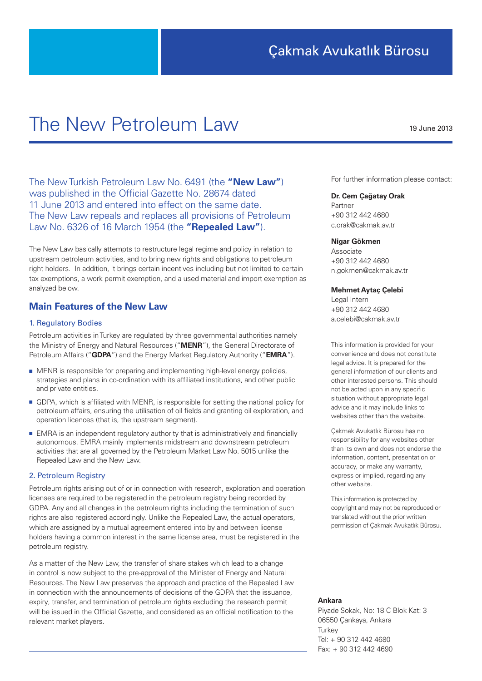# The New Petroleum Law

The New Turkish Petroleum Law No. 6491 (the **"New Law"**) was published in the Official Gazette No. 28674 dated 11 June 2013 and entered into effect on the same date. The New Law repeals and replaces all provisions of Petroleum Law No. 6326 of 16 March 1954 (the **"Repealed Law"**).

The New Law basically attempts to restructure legal regime and policy in relation to upstream petroleum activities, and to bring new rights and obligations to petroleum right holders. In addition, it brings certain incentives including but not limited to certain tax exemptions, a work permit exemption, and a used material and import exemption as analyzed below.

## **Main Features of the New Law**

## 1. Regulatory Bodies

Petroleum activities in Turkey are regulated by three governmental authorities namely the Ministry of Energy and Natural Resources ("**MENR**"), the General Directorate of Petroleum Affairs ("**GDPA**") and the Energy Market Regulatory Authority ("**EMRA**").

- MENR is responsible for preparing and implementing high-level energy policies, strategies and plans in co-ordination with its affiliated institutions, and other public and private entities.
- GDPA, which is affiliated with MENR, is responsible for setting the national policy for petroleum affairs, ensuring the utilisation of oil fields and granting oil exploration, and operation licences (that is, the upstream segment).
- EMRA is an independent regulatory authority that is administratively and financially autonomous. EMRA mainly implements midstream and downstream petroleum activities that are all governed by the Petroleum Market Law No. 5015 unlike the Repealed Law and the New Law.

#### 2. Petroleum Registry

Petroleum rights arising out of or in connection with research, exploration and operation licenses are required to be registered in the petroleum registry being recorded by GDPA. Any and all changes in the petroleum rights including the termination of such rights are also registered accordingly. Unlike the Repealed Law, the actual operators, which are assigned by a mutual agreement entered into by and between license holders having a common interest in the same license area, must be registered in the petroleum registry.

As a matter of the New Law, the transfer of share stakes which lead to a change in control is now subject to the pre-approval of the Minister of Energy and Natural Resources. The New Law preserves the approach and practice of the Repealed Law in connection with the announcements of decisions of the GDPA that the issuance, expiry, transfer, and termination of petroleum rights excluding the research permit will be issued in the Official Gazette, and considered as an official notification to the relevant market players.

For further information please contact:

#### **Dr. Cem Çağatay Orak**

Partner +90 312 442 4680 c.orak@cakmak.av.tr

#### **Nigar Gökmen**

Associate +90 312 442 4680 n.gokmen@cakmak.av.tr

### **Mehmet Aytaç Çelebi**

Legal Intern +90 312 442 4680 a.celebi@cakmak.av.tr

This information is provided for your convenience and does not constitute legal advice. It is prepared for the general information of our clients and other interested persons. This should not be acted upon in any specific situation without appropriate legal advice and it may include links to websites other than the website.

Çakmak Avukatlık Bürosu has no responsibility for any websites other than its own and does not endorse the information, content, presentation or accuracy, or make any warranty, express or implied, regarding any other website.

This information is protected by copyright and may not be reproduced or translated without the prior written permission of Çakmak Avukatlık Bürosu.

#### **Ankara**

Piyade Sokak, No: 18 C Blok Kat: 3 06550 Çankaya, Ankara **Turkey** Tel: + 90 312 442 4680 Fax: + 90 312 442 4690

19 June 2013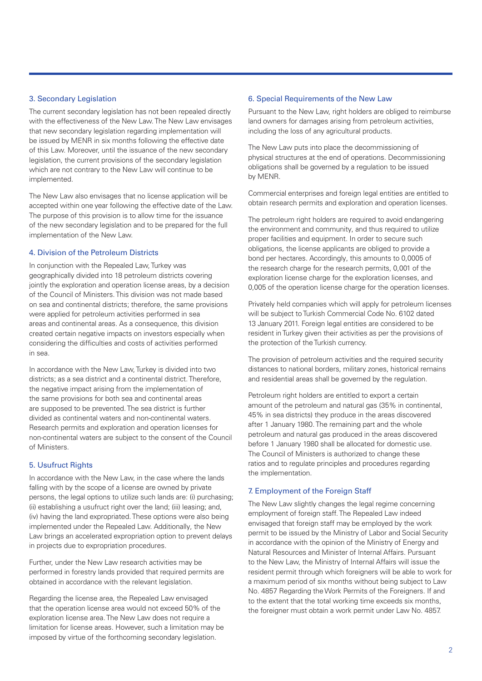## 3. Secondary Legislation

The current secondary legislation has not been repealed directly with the effectiveness of the New Law. The New Law envisages that new secondary legislation regarding implementation will be issued by MENR in six months following the effective date of this Law. Moreover, until the issuance of the new secondary legislation, the current provisions of the secondary legislation which are not contrary to the New Law will continue to be implemented.

The New Law also envisages that no license application will be accepted within one year following the effective date of the Law. The purpose of this provision is to allow time for the issuance of the new secondary legislation and to be prepared for the full implementation of the New Law.

## 4. Division of the Petroleum Districts

In conjunction with the Repealed Law, Turkey was geographically divided into 18 petroleum districts covering jointly the exploration and operation license areas, by a decision of the Council of Ministers. This division was not made based on sea and continental districts; therefore, the same provisions were applied for petroleum activities performed in sea areas and continental areas. As a consequence, this division created certain negative impacts on investors especially when considering the difficulties and costs of activities performed in sea.

In accordance with the New Law, Turkey is divided into two districts; as a sea district and a continental district. Therefore, the negative impact arising from the implementation of the same provisions for both sea and continental areas are supposed to be prevented. The sea district is further divided as continental waters and non-continental waters. Research permits and exploration and operation licenses for non-continental waters are subject to the consent of the Council of Ministers.

## 5. Usufruct Rights

In accordance with the New Law, in the case where the lands falling with by the scope of a license are owned by private persons, the legal options to utilize such lands are: (i) purchasing; (ii) establishing a usufruct right over the land; (iii) leasing; and, (iv) having the land expropriated. These options were also being implemented under the Repealed Law. Additionally, the New Law brings an accelerated expropriation option to prevent delays in projects due to expropriation procedures.

Further, under the New Law research activities may be performed in forestry lands provided that required permits are obtained in accordance with the relevant legislation.

Regarding the license area, the Repealed Law envisaged that the operation license area would not exceed 50% of the exploration license area. The New Law does not require a limitation for license areas. However, such a limitation may be imposed by virtue of the forthcoming secondary legislation.

## 6. Special Requirements of the New Law

Pursuant to the New Law, right holders are obliged to reimburse land owners for damages arising from petroleum activities, including the loss of any agricultural products.

The New Law puts into place the decommissioning of physical structures at the end of operations. Decommissioning obligations shall be governed by a regulation to be issued by MENR.

Commercial enterprises and foreign legal entities are entitled to obtain research permits and exploration and operation licenses.

The petroleum right holders are required to avoid endangering the environment and community, and thus required to utilize proper facilities and equipment. In order to secure such obligations, the license applicants are obliged to provide a bond per hectares. Accordingly, this amounts to 0,0005 of the research charge for the research permits, 0,001 of the exploration license charge for the exploration licenses, and 0,005 of the operation license charge for the operation licenses.

Privately held companies which will apply for petroleum licenses will be subject to Turkish Commercial Code No. 6102 dated 13 January 2011. Foreign legal entities are considered to be resident in Turkey given their activities as per the provisions of the protection of the Turkish currency.

The provision of petroleum activities and the required security distances to national borders, military zones, historical remains and residential areas shall be governed by the regulation.

Petroleum right holders are entitled to export a certain amount of the petroleum and natural gas (35% in continental, 45% in sea districts) they produce in the areas discovered after 1 January 1980. The remaining part and the whole petroleum and natural gas produced in the areas discovered before 1 January 1980 shall be allocated for domestic use. The Council of Ministers is authorized to change these ratios and to regulate principles and procedures regarding the implementation.

## 7. Employment of the Foreign Staff

The New Law slightly changes the legal regime concerning employment of foreign staff. The Repealed Law indeed envisaged that foreign staff may be employed by the work permit to be issued by the Ministry of Labor and Social Security in accordance with the opinion of the Ministry of Energy and Natural Resources and Minister of Internal Affairs. Pursuant to the New Law, the Ministry of Internal Affairs will issue the resident permit through which foreigners will be able to work for a maximum period of six months without being subject to Law No. 4857 Regarding the Work Permits of the Foreigners. If and to the extent that the total working time exceeds six months, the foreigner must obtain a work permit under Law No. 4857.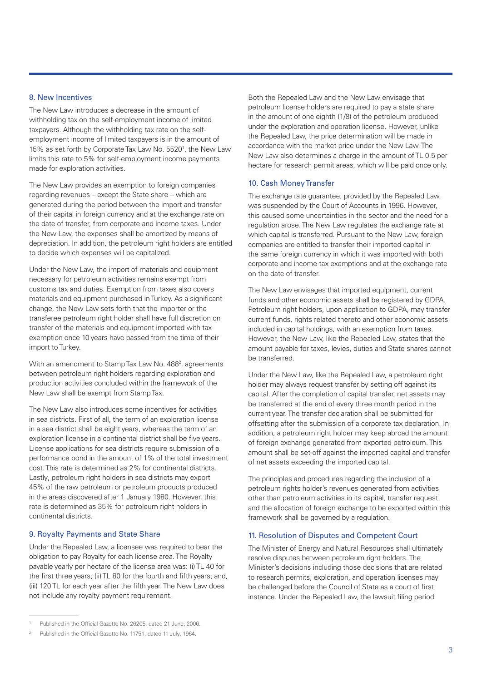### 8. New Incentives

The New Law introduces a decrease in the amount of withholding tax on the self-employment income of limited taxpayers. Although the withholding tax rate on the selfemployment income of limited taxpayers is in the amount of 15% as set forth by Corporate Tax Law No. 5520<sup>1</sup>, the New Law limits this rate to 5% for self-employment income payments made for exploration activities.

The New Law provides an exemption to foreign companies regarding revenues – except the State share – which are generated during the period between the import and transfer of their capital in foreign currency and at the exchange rate on the date of transfer, from corporate and income taxes. Under the New Law, the expenses shall be amortized by means of depreciation. In addition, the petroleum right holders are entitled to decide which expenses will be capitalized.

Under the New Law, the import of materials and equipment necessary for petroleum activities remains exempt from customs tax and duties. Exemption from taxes also covers materials and equipment purchased in Turkey. As a significant change, the New Law sets forth that the importer or the transferee petroleum right holder shall have full discretion on transfer of the materials and equipment imported with tax exemption once 10 years have passed from the time of their import to Turkey.

With an amendment to Stamp Tax Law No. 488<sup>2</sup>, agreements between petroleum right holders regarding exploration and production activities concluded within the framework of the New Law shall be exempt from Stamp Tax.

The New Law also introduces some incentives for activities in sea districts. First of all, the term of an exploration license in a sea district shall be eight years, whereas the term of an exploration license in a continental district shall be five years. License applications for sea districts require submission of a performance bond in the amount of 1% of the total investment cost. This rate is determined as 2% for continental districts. Lastly, petroleum right holders in sea districts may export 45% of the raw petroleum or petroleum products produced in the areas discovered after 1 January 1980. However, this rate is determined as 35% for petroleum right holders in continental districts.

#### 9. Royalty Payments and State Share

Under the Repealed Law, a licensee was required to bear the obligation to pay Royalty for each license area. The Royalty payable yearly per hectare of the license area was: (i) TL 40 for the first three years; (ii) TL 80 for the fourth and fifth years; and, (iii) 120 TL for each year after the fifth year. The New Law does not include any royalty payment requirement.

Both the Repealed Law and the New Law envisage that petroleum license holders are required to pay a state share in the amount of one eighth (1/8) of the petroleum produced under the exploration and operation license. However, unlike the Repealed Law, the price determination will be made in accordance with the market price under the New Law. The New Law also determines a charge in the amount of TL 0.5 per hectare for research permit areas, which will be paid once only.

## 10. Cash Money Transfer

The exchange rate guarantee, provided by the Repealed Law, was suspended by the Court of Accounts in 1996. However, this caused some uncertainties in the sector and the need for a regulation arose. The New Law regulates the exchange rate at which capital is transferred. Pursuant to the New Law, foreign companies are entitled to transfer their imported capital in the same foreign currency in which it was imported with both corporate and income tax exemptions and at the exchange rate on the date of transfer.

The New Law envisages that imported equipment, current funds and other economic assets shall be registered by GDPA. Petroleum right holders, upon application to GDPA, may transfer current funds, rights related thereto and other economic assets included in capital holdings, with an exemption from taxes. However, the New Law, like the Repealed Law, states that the amount payable for taxes, levies, duties and State shares cannot be transferred.

Under the New Law, like the Repealed Law, a petroleum right holder may always request transfer by setting off against its capital. After the completion of capital transfer, net assets may be transferred at the end of every three month period in the current year. The transfer declaration shall be submitted for offsetting after the submission of a corporate tax declaration. In addition, a petroleum right holder may keep abroad the amount of foreign exchange generated from exported petroleum. This amount shall be set-off against the imported capital and transfer of net assets exceeding the imported capital.

The principles and procedures regarding the inclusion of a petroleum rights holder's revenues generated from activities other than petroleum activities in its capital, transfer request and the allocation of foreign exchange to be exported within this framework shall be governed by a regulation.

## 11. Resolution of Disputes and Competent Court

The Minister of Energy and Natural Resources shall ultimately resolve disputes between petroleum right holders. The Minister's decisions including those decisions that are related to research permits, exploration, and operation licenses may be challenged before the Council of State as a court of first instance. Under the Repealed Law, the lawsuit filing period

Published in the Official Gazette No. 26205, dated 21 June, 2006.

<sup>2</sup> Published in the Official Gazette No. 11751, dated 11 July, 1964.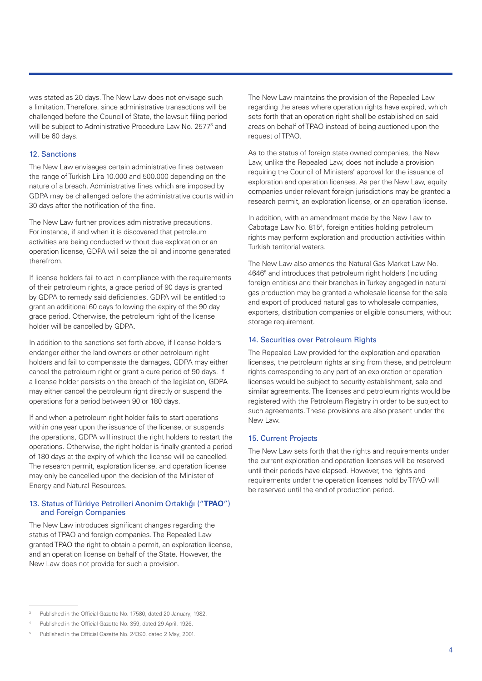was stated as 20 days. The New Law does not envisage such a limitation. Therefore, since administrative transactions will be challenged before the Council of State, the lawsuit filing period will be subject to Administrative Procedure Law No. 2577<sup>3</sup> and will be 60 days.

## 12. Sanctions

The New Law envisages certain administrative fines between the range of Turkish Lira 10.000 and 500.000 depending on the nature of a breach. Administrative fines which are imposed by GDPA may be challenged before the administrative courts within 30 days after the notification of the fine.

The New Law further provides administrative precautions. For instance, if and when it is discovered that petroleum activities are being conducted without due exploration or an operation license, GDPA will seize the oil and income generated therefrom.

If license holders fail to act in compliance with the requirements of their petroleum rights, a grace period of 90 days is granted by GDPA to remedy said deficiencies. GDPA will be entitled to grant an additional 60 days following the expiry of the 90 day grace period. Otherwise, the petroleum right of the license holder will be cancelled by GDPA.

In addition to the sanctions set forth above, if license holders endanger either the land owners or other petroleum right holders and fail to compensate the damages, GDPA may either cancel the petroleum right or grant a cure period of 90 days. If a license holder persists on the breach of the legislation, GDPA may either cancel the petroleum right directly or suspend the operations for a period between 90 or 180 days.

If and when a petroleum right holder fails to start operations within one year upon the issuance of the license, or suspends the operations, GDPA will instruct the right holders to restart the operations. Otherwise, the right holder is finally granted a period of 180 days at the expiry of which the license will be cancelled. The research permit, exploration license, and operation license may only be cancelled upon the decision of the Minister of Energy and Natural Resources.

## 13. Status of Türkiye Petrolleri Anonim Ortaklığı ("**TPAO**") and Foreign Companies

The New Law introduces significant changes regarding the status of TPAO and foreign companies. The Repealed Law granted TPAO the right to obtain a permit, an exploration license, and an operation license on behalf of the State. However, the New Law does not provide for such a provision.

The New Law maintains the provision of the Repealed Law regarding the areas where operation rights have expired, which sets forth that an operation right shall be established on said areas on behalf of TPAO instead of being auctioned upon the request of TPAO.

As to the status of foreign state owned companies, the New Law, unlike the Repealed Law, does not include a provision requiring the Council of Ministers' approval for the issuance of exploration and operation licenses. As per the New Law, equity companies under relevant foreign jurisdictions may be granted a research permit, an exploration license, or an operation license.

In addition, with an amendment made by the New Law to Cabotage Law No. 815<sup>4</sup>, foreign entities holding petroleum rights may perform exploration and production activities within Turkish territorial waters.

The New Law also amends the Natural Gas Market Law No. 4646<sup>5</sup> and introduces that petroleum right holders (including foreign entities) and their branches in Turkey engaged in natural gas production may be granted a wholesale license for the sale and export of produced natural gas to wholesale companies, exporters, distribution companies or eligible consumers, without storage requirement.

## 14. Securities over Petroleum Rights

The Repealed Law provided for the exploration and operation licenses, the petroleum rights arising from these, and petroleum rights corresponding to any part of an exploration or operation licenses would be subject to security establishment, sale and similar agreements. The licenses and petroleum rights would be registered with the Petroleum Registry in order to be subject to such agreements. These provisions are also present under the New Law.

## 15. Current Projects

The New Law sets forth that the rights and requirements under the current exploration and operation licenses will be reserved until their periods have elapsed. However, the rights and requirements under the operation licenses hold by TPAO will be reserved until the end of production period.

<sup>3</sup> Published in the Official Gazette No. 17580, dated 20 January, 1982.

Published in the Official Gazette No. 359, dated 29 April, 1926.

<sup>5</sup> Published in the Official Gazette No. 24390, dated 2 May, 2001.